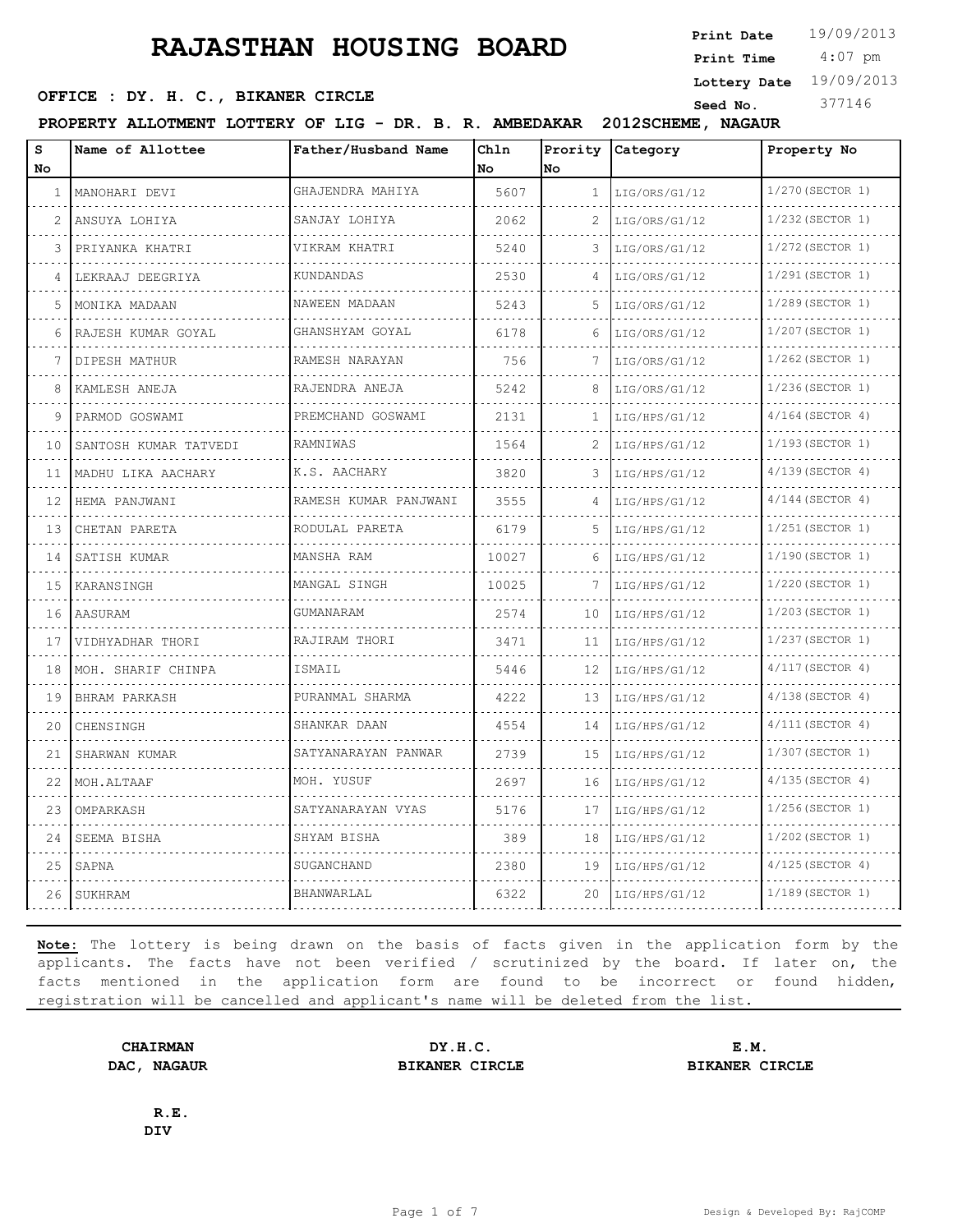4:07 pm **Print Date**  $19/09/2013$ **Print Time**

**Lottery Date** 19/09/2013

## **SEED OFFICE : DY. H. C., BIKANER CIRCLE** Seed No. 377146

**PROPERTY ALLOTMENT LOTTERY OF LIG - DR. B. R. AMBEDAKAR 2012SCHEME, NAGAUR**

| S<br>No       | Name of Allottee      | Father/Husband Name   | Chln<br>No | Prority<br>No  | Category           | Property No           |
|---------------|-----------------------|-----------------------|------------|----------------|--------------------|-----------------------|
| 1             | MANOHARI DEVI         | GHAJENDRA MAHIYA      | 5607       | 1.             | LIG/ORS/G1/12      | 1/270 (SECTOR 1)<br>. |
| $\mathcal{L}$ | ANSUYA LOHIYA         | SANJAY LOHIYA         | 2062       | 2              | .<br>LIG/ORS/G1/12 | 1/232 (SECTOR 1)      |
| 3             | PRIYANKA KHATRI       | VIKRAM KHATRI         | 5240       | 3              | LIG/ORS/G1/12      | 1/272 (SECTOR 1)      |
| 4             | LEKRAAJ DEEGRIYA      | KUNDANDAS             | 2530       | 4              | LIG/ORS/G1/12      | 1/291 (SECTOR 1)      |
| 5             | MONIKA MADAAN         | NAWEEN MADAAN         | 5243       | 5.             | LIG/ORS/G1/12      | $1/289$ (SECTOR 1)    |
| 6             | RAJESH KUMAR GOYAL    | GHANSHYAM GOYAL       | 6178       | 6              | LIG/ORS/G1/12      | 1/207 (SECTOR 1)      |
| 7             | DIPESH MATHUR         | RAMESH NARAYAN        | 756        | 7              | LIG/ORS/G1/12      | $1/262$ (SECTOR 1)    |
| 8             | KAMLESH ANEJA         | .<br>RAJENDRA ANEJA   | 5242       |                | LIG/ORS/G1/12      | 1/236(SECTOR 1)       |
| 9             | PARMOD GOSWAMI        | PREMCHAND GOSWAMI     | 2131       | 1              | LIG/HPS/G1/12      | $4/164$ (SECTOR 4)    |
| 10            | SANTOSH KUMAR TATVEDI | RAMNIWAS              | 1564       | $\mathfrak{D}$ | LIG/HPS/G1/12      | 1/193 (SECTOR 1)      |
| 11            | MADHU LIKA AACHARY    | K.S. AACHARY          | 3820       | 3              | LIG/HPS/G1/12      | $4/139$ (SECTOR 4)    |
| 12            | HEMA PANJWANI         | RAMESH KUMAR PANJWANI | 3555       | 4              | LIG/HPS/G1/12      | $4/144$ (SECTOR 4)    |
| 13            | CHETAN PARETA         | RODULAL PARETA        | 6179       | 5              | LIG/HPS/G1/12      | 1/251 (SECTOR 1)      |
| 14            | SATISH KUMAR          | MANSHA RAM            | 10027      | 6              | LIG/HPS/G1/12      | $1/190$ (SECTOR 1)    |
| 15            | KARANSINGH            | MANGAL SINGH          | 10025      | 7              | LIG/HPS/G1/12      | 1/220 (SECTOR 1)      |
| 16            | AASURAM               | GUMANARAM             | 2574       | 10             | LIG/HPS/G1/12      | 1/203(SECTOR 1)       |
| 17            | VIDHYADHAR THORI      | RAJIRAM THORI         | 3471       | 11             | LIG/HPS/G1/12      | 1/237 (SECTOR 1)      |
| 18            | MOH. SHARIF CHINPA    | ISMAIL                | 5446       | 12             | LIG/HPS/G1/12      | $4/117$ (SECTOR 4)    |
| 19            | BHRAM PARKASH         | PURANMAL SHARMA       | 4222       | 13             | LIG/HPS/G1/12      | $4/138$ (SECTOR 4)    |
| 20            | CHENSINGH             | SHANKAR DAAN          | 4554       | 14             | LIG/HPS/G1/12      | $4/111$ (SECTOR 4)    |
| 21            | SHARWAN KUMAR         | SATYANARAYAN PANWAR   | 2739       | 15             | LIG/HPS/G1/12      | 1/307 (SECTOR 1)      |
| 22            | MOH.ALTAAF            | MOH. YUSUF            | 2697       | 16             | LIG/HPS/G1/12      | $4/135$ (SECTOR 4)    |
| 23            | OMPARKASH             | SATYANARAYAN VYAS     | 5176       | 17             | LIG/HPS/G1/12      | 1/256(SECTOR 1)       |
| 24            | SEEMA BISHA           | SHYAM BISHA           | 389        | 18             | LIG/HPS/G1/12      | 1/202(SECTOR 1)       |
| 25            | SAPNA                 | SUGANCHAND            | 2380       | 19             | LIG/HPS/G1/12      | $4/125$ (SECTOR 4)    |
| 26            | SUKHRAM               | BHANWARLAL            | 6322       | 20             | LIG/HPS/G1/12      | 1/189 (SECTOR 1)      |

**Note:** The lottery is being drawn on the basis of facts given in the application form by the applicants. The facts have not been verified / scrutinized by the board. If later on, the facts mentioned in the application form are found to be incorrect or found hidden, registration will be cancelled and applicant's name will be deleted from the list.

**CHAIRMAN DY.H.C. E.M. DAC, NAGAUR BIKANER CIRCLE BIKANER CIRCLE**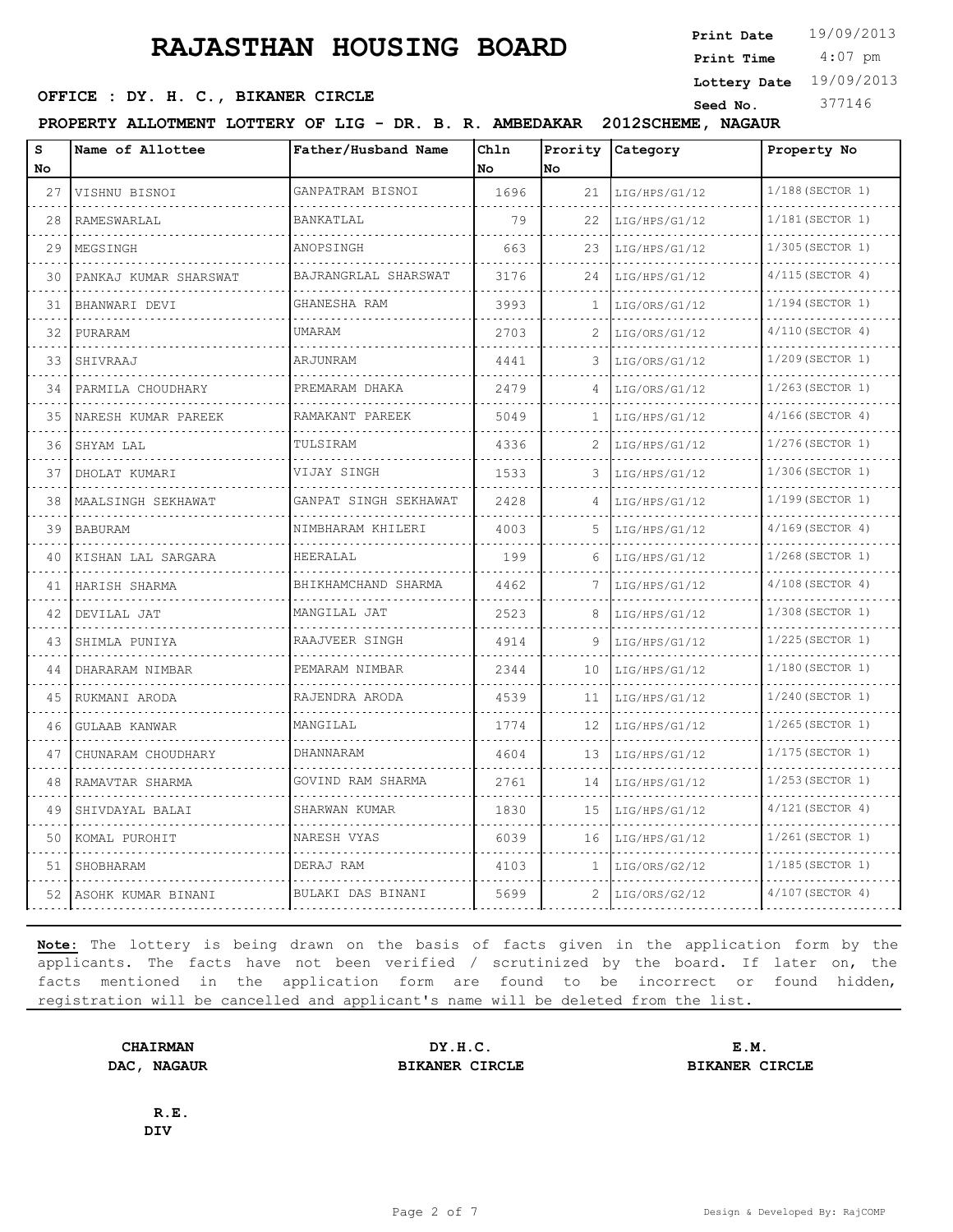4:07 pm **Print Date**  $19/09/2013$ **Print Time**

**Lottery Date** 19/09/2013

## **SEED OFFICE : DY. H. C., BIKANER CIRCLE** Seed No. 377146

**PROPERTY ALLOTMENT LOTTERY OF LIG - DR. B. R. AMBEDAKAR 2012SCHEME, NAGAUR**

| s<br>No | Name of Allottee                   | Father/Husband Name    | Chln<br>No | Prority<br>lno. | Category           | Property No                           |
|---------|------------------------------------|------------------------|------------|-----------------|--------------------|---------------------------------------|
| 27      | VISHNU BISNOI                      | GANPATRAM BISNOI       | 1696       | 21              | LIG/HPS/G1/12      | 1/188(SECTOR 1)                       |
| 28      | RAMESWARLAL                        | BANKATLAL              | 79         | 22              | LIG/HPS/G1/12      | .<br>1/181 (SECTOR 1)                 |
| 29      | MEGSINGH                           | ANOPSINGH              | 663        | 23              | LIG/HPS/G1/12      | 1/305 (SECTOR 1)                      |
| 30      | PANKAJ KUMAR SHARSWAT              | BAJRANGRLAL SHARSWAT   | 3176       | 24              | LIG/HPS/G1/12      | $4/115$ (SECTOR 4)                    |
| 31      | BHANWARI DEVI                      | GHANESHA RAM           | 3993       | 1               | LIG/ORS/G1/12      | .<br>1/194 (SECTOR 1)                 |
| 32      | PURARAM                            | UMARAM                 | 2703       | 2               | LIG/ORS/G1/12      | $4/110$ (SECTOR 4)                    |
| 33      | SHIVRAAJ<br>and a diagonal control | ARJUNRAM               | 4441       | 3               | LIG/ORS/G1/12      | 1/209 (SECTOR 1)                      |
| 34      | PARMILA CHOUDHARY                  | PREMARAM DHAKA         | 2479       | 4               | LIG/ORS/G1/12      | $1/263$ (SECTOR 1)                    |
| 35      | NARESH KUMAR PAREEK                | RAMAKANT PAREEK        | 5049       | 1               | LIG/HPS/G1/12      | $4/166$ (SECTOR 4)                    |
| 36      | SHYAM LAL<br>.                     | TULSIRAM               | 4336       | 2               | LIG/HPS/G1/12      | 1/276(SECTOR 1)                       |
| 37      | DHOLAT KUMARI                      | VIJAY SINGH            | 1533       | 3               | LIG/HPS/G1/12      | 1/306(SECTOR 1)                       |
| 38      | MAALSINGH SEKHAWAT                 | GANPAT SINGH SEKHAWAT  | 2428       | 4               | LIG/HPS/G1/12      | 1/199(SECTOR 1)                       |
| 39      | BABURAM<br>.                       | NIMBHARAM KHILERI<br>. | 4003       | 5.              | LIG/HPS/G1/12<br>. | $4/169$ (SECTOR 4)<br>1.1.1.1.1.1.1.1 |
| 40      | KISHAN LAL SARGARA                 | HEERALAL               | 199        | 6               | LIG/HPS/G1/12      | 1/268 (SECTOR 1)                      |
| 41      | HARISH SHARMA                      | BHIKHAMCHAND SHARMA    | 4462       | 7               | LIG/HPS/G1/12      | 4/108(SECTOR 4)                       |
| 42      | DEVILAL JAT<br>.                   | MANGILAL JAT<br>.      | 2523       | 8               | LIG/HPS/G1/12      | 1/308 (SECTOR 1)<br>.                 |
| 43      | SHIMLA PUNIYA                      | RAAJVEER SINGH         | 4914       | 9               | LIG/HPS/G1/12      | 1/225 (SECTOR 1)                      |
| 44      | DHARARAM NIMBAR                    | PEMARAM NIMBAR         | 2344       | 10              | LIG/HPS/G1/12      | 1/180(SECTOR 1)                       |
| 45      | RUKMANI ARODA                      | RAJENDRA ARODA         | 4539       | 11              | LIG/HPS/G1/12      | 1/240 (SECTOR 1)                      |
| 46      | GULAAB KANWAR                      | MANGILAL               | 1774       | 12              | LIG/HPS/G1/12      | 1/265(SECTOR 1)                       |
| 47      | CHUNARAM CHOUDHARY                 | DHANNARAM              | 4604       | 13              | LIG/HPS/G1/12      | 1/175(SECTOR 1)                       |
| 48      | RAMAVTAR SHARMA                    | GOVIND RAM SHARMA      | 2761       | 14              | LIG/HPS/G1/12      | 1/253 (SECTOR 1)                      |
| 49      | SHIVDAYAL BALAI                    | SHARWAN KUMAR          | 1830       | 15              | LIG/HPS/G1/12      | $4/121$ (SECTOR 4)                    |
| 50      | KOMAL PUROHIT                      | NARESH VYAS            | 6039       | 16              | LIG/HPS/G1/12      | $1/261$ (SECTOR 1)                    |
| 51      | SHOBHARAM                          | DERAJ RAM              | 4103       | 1               | LIG/ORS/G2/12      | 1/185(SECTOR 1)                       |
|         | 52   ASOHK KUMAR BINANI            | BULAKI DAS BINANI      | 5699       | 2.              | LIG/ORS/G2/12      | 4/107 (SECTOR 4)                      |

**Note:** The lottery is being drawn on the basis of facts given in the application form by the applicants. The facts have not been verified / scrutinized by the board. If later on, the facts mentioned in the application form are found to be incorrect or found hidden, registration will be cancelled and applicant's name will be deleted from the list.

**CHAIRMAN DY.H.C. E.M. DAC, NAGAUR BIKANER CIRCLE BIKANER CIRCLE**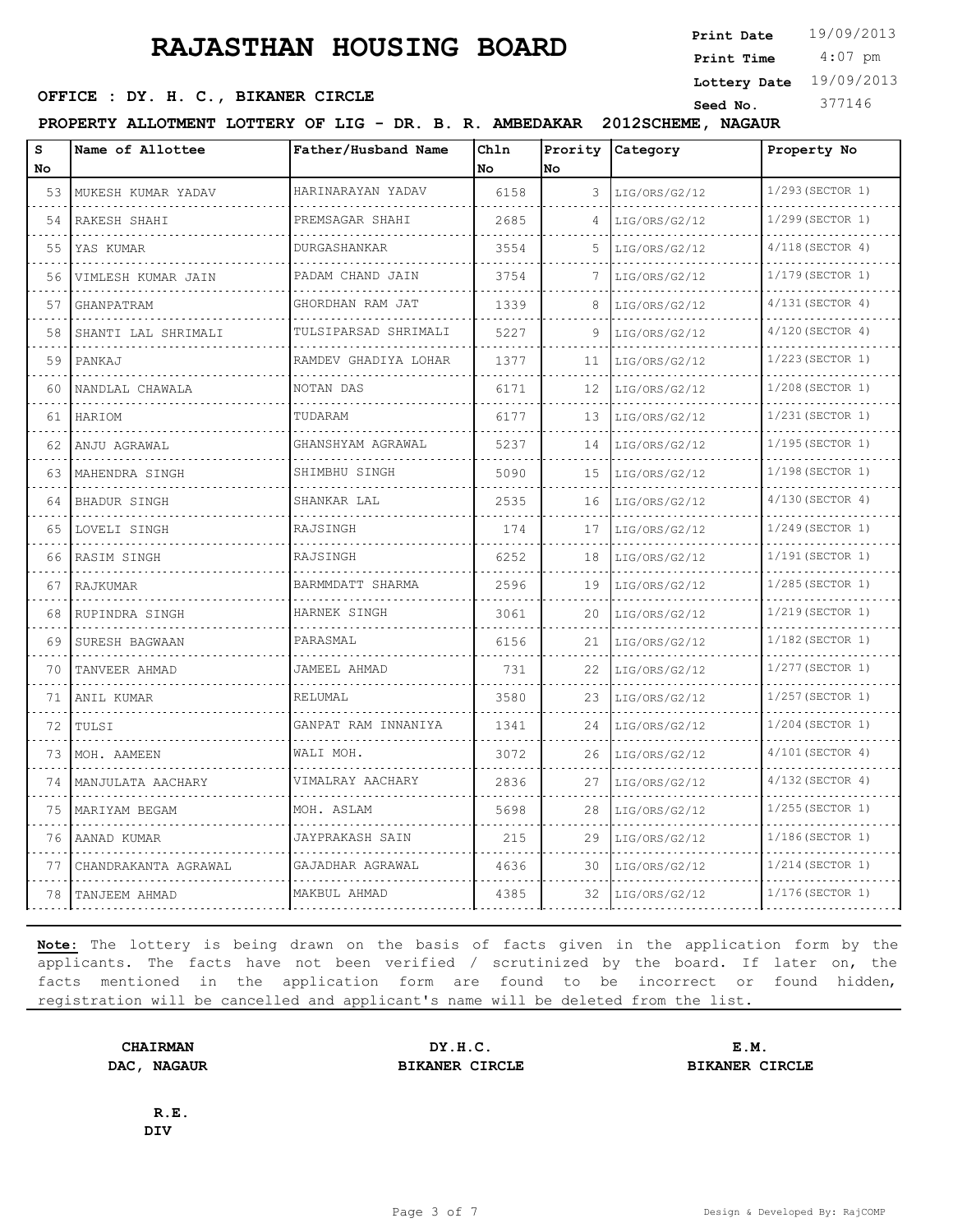4:07 pm **Print Date**  $19/09/2013$ **Print Time**

**Lottery Date** 19/09/2013

## **SEED OFFICE : DY. H. C., BIKANER CIRCLE** Seed No. 377146

**PROPERTY ALLOTMENT LOTTERY OF LIG - DR. B. R. AMBEDAKAR 2012SCHEME, NAGAUR**

| S<br>No | Name of Allottee     | Father/Husband Name    | Chln<br>No | Prority<br>No | Category      | Property No           |
|---------|----------------------|------------------------|------------|---------------|---------------|-----------------------|
| 53      | MUKESH KUMAR YADAV   | HARINARAYAN YADAV      | 6158       | 3             | LIG/ORS/G2/12 | 1/293 (SECTOR 1)<br>. |
| .<br>54 | RAKESH SHAHI         | PREMSAGAR SHAHI        | 2685       | 4             | LIG/ORS/G2/12 | 1/299 (SECTOR 1)      |
| 55      | YAS KUMAR            | DURGASHANKAR           | 3554       | 5             | LIG/ORS/G2/12 | $4/118$ (SECTOR 4)    |
| 56      | VIMLESH KUMAR JAIN   | PADAM CHAND JAIN<br>.  | 3754       | 7             | LIG/ORS/G2/12 | 1/179 (SECTOR 1)      |
| 57      | GHANPATRAM           | GHORDHAN RAM JAT<br>.  | 1339       | 8             | LIG/ORS/G2/12 | 4/131(SECTOR 4)       |
| 58      | SHANTI LAL SHRIMALI  | TULSIPARSAD SHRIMALI   | 5227       | 9             | LIG/ORS/G2/12 | 4/120(SECTOR 4)       |
| 59      | PANKAJ               | RAMDEV GHADIYA LOHAR   | 1377       | 11            | LIG/ORS/G2/12 | 1/223 (SECTOR 1)      |
| 60      | NANDLAL CHAWALA      | NOTAN DAS              | 6171       | 12            | LIG/ORS/G2/12 | 1/208 (SECTOR 1)      |
| 61      | HARIOM               | TUDARAM                | 6177       | 13            | LIG/ORS/G2/12 | 1/231 (SECTOR 1)      |
| 62      | ANJU AGRAWAL         | GHANSHYAM AGRAWAL<br>. | 5237       | 14            | LIG/ORS/G2/12 | 1/195 (SECTOR 1)      |
| 63      | MAHENDRA SINGH       | SHIMBHU SINGH          | 5090       | 15            | LIG/ORS/G2/12 | 1/198 (SECTOR 1)      |
| 64      | BHADUR SINGH         | SHANKAR LAL            | 2535       | 16            | LIG/ORS/G2/12 | 4/130 (SECTOR 4)      |
| 65      | LOVELI SINGH         | RAJSINGH               | 174        | 17            | LIG/ORS/G2/12 | 1/249(SECTOR 1)       |
| 66      | RASIM SINGH          | RAJSINGH               | 6252       | 18            | LIG/ORS/G2/12 | 1/191 (SECTOR 1)      |
| 67      | RAJKUMAR             | BARMMDATT SHARMA       | 2596       | 19            | LIG/ORS/G2/12 | 1/285(SECTOR 1)       |
| 68      | RUPINDRA SINGH       | HARNEK SINGH           | 3061       | 20            | LIG/ORS/G2/12 | 1/219 (SECTOR 1)      |
| 69      | SURESH BAGWAAN       | PARASMAL               | 6156       | 21            | LIG/ORS/G2/12 | 1/182(SECTOR 1)       |
| 70      | TANVEER AHMAD        | JAMEEL AHMAD           | 731        | 22            | LIG/ORS/G2/12 | 1/277 (SECTOR 1)      |
| 71      | ANIL KUMAR           | RELUMAL                | 3580       | 23            | LIG/ORS/G2/12 | 1/257 (SECTOR 1)      |
| 72      | TULSI                | GANPAT RAM INNANIYA    | 1341       | 24            | LIG/ORS/G2/12 | 1/204(SECTOR 1)       |
| 73      | MOH. AAMEEN          | WALI MOH.              | 3072       | 26            | LIG/ORS/G2/12 | 4/101(SECTOR 4)       |
| 74      | MANJULATA AACHARY    | VIMALRAY AACHARY       | 2836       | 27            | LIG/ORS/G2/12 | $4/132$ (SECTOR 4)    |
| 75      | MARIYAM BEGAM        | MOH. ASLAM             | 5698       | 28            | LIG/ORS/G2/12 | 1/255 (SECTOR 1)      |
| 76      | AANAD KUMAR          | JAYPRAKASH SAIN        | 215        | 29            | LIG/ORS/G2/12 | 1/186(SECTOR 1)       |
| 77      | CHANDRAKANTA AGRAWAL | GAJADHAR AGRAWAL       | 4636       | 30            | LIG/ORS/G2/12 | $1/214$ (SECTOR 1)    |
| 78      | TANJEEM AHMAD        | MAKBUL AHMAD           | 4385       | 32            | LIG/ORS/G2/12 | 1/176(SECTOR 1)       |

**Note:** The lottery is being drawn on the basis of facts given in the application form by the applicants. The facts have not been verified / scrutinized by the board. If later on, the facts mentioned in the application form are found to be incorrect or found hidden, registration will be cancelled and applicant's name will be deleted from the list.

**CHAIRMAN DY.H.C. E.M. DAC, NAGAUR BIKANER CIRCLE BIKANER CIRCLE**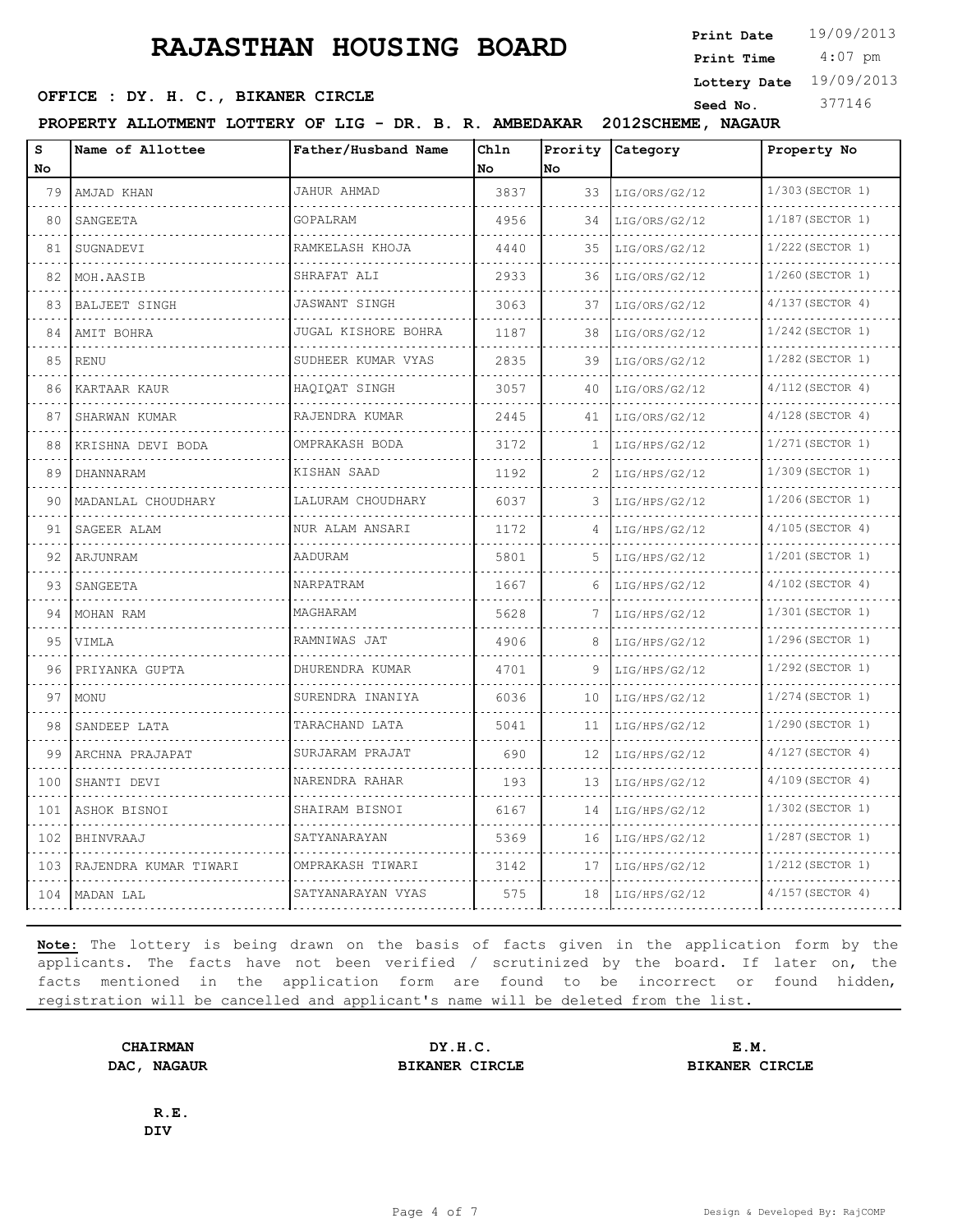4:07 pm **Print Date**  $19/09/2013$ **Print Time**

**Lottery Date** 19/09/2013

## **SEED OFFICE : DY. H. C., BIKANER CIRCLE** Seed No. 377146

**PROPERTY ALLOTMENT LOTTERY OF LIG - DR. B. R. AMBEDAKAR 2012SCHEME, NAGAUR**

| s<br><b>No</b> | Name of Allottee      | Father/Husband Name | Chln<br>No. | Prority<br>No | Category      | Property No        |
|----------------|-----------------------|---------------------|-------------|---------------|---------------|--------------------|
| 79             | AMJAD KHAN            | <b>JAHUR AHMAD</b>  | 3837        | 33            | LIG/ORS/G2/12 | 1/303 (SECTOR 1)   |
| 80             | SANGEETA              | GOPALRAM            | 4956        | 34            | LIG/ORS/G2/12 | 1/187(SECTOR 1)    |
| 81             | SUGNADEVI             | RAMKELASH KHOJA     | 4440        | 35            | LIG/ORS/G2/12 | 1/222 (SECTOR 1)   |
| 82             | MOH.AASIB             | SHRAFAT ALI         | 2933        | 36            | LIG/ORS/G2/12 | 1/260 (SECTOR 1)   |
| 83             | <b>BALJEET SINGH</b>  | JASWANT SINGH       | 3063        | 37            | LIG/ORS/G2/12 | $4/137$ (SECTOR 4) |
| 84             | AMIT BOHRA            | JUGAL KISHORE BOHRA | 1187        | 38            | LIG/ORS/G2/12 | 1/242 (SECTOR 1)   |
| 85             | <b>RENU</b>           | SUDHEER KUMAR VYAS  | 2835        | 39            | LIG/ORS/G2/12 | 1/282 (SECTOR 1)   |
| 86             | KARTAAR KAUR          | HAOIOAT SINGH       | 3057        | 40            | LIG/ORS/G2/12 | 4/112 (SECTOR 4)   |
| 87             | SHARWAN KUMAR         | RAJENDRA KUMAR      | 2445        | 41            | LIG/ORS/G2/12 | $4/128$ (SECTOR 4) |
| 88             | KRISHNA DEVI BODA     | OMPRAKASH BODA      | 3172        | 1.            | LIG/HPS/G2/12 | 1/271(SECTOR 1)    |
| 89             | DHANNARAM             | KISHAN SAAD         | 1192        | 2             | LIG/HPS/G2/12 | 1/309 (SECTOR 1)   |
| 90             | MADANLAL CHOUDHARY    | LALURAM CHOUDHARY   | 6037        | 3             | LIG/HPS/G2/12 | 1/206(SECTOR 1)    |
| 91             | SAGEER ALAM           | NUR ALAM ANSARI     | 1172        | 4             | LIG/HPS/G2/12 | $4/105$ (SECTOR 4) |
| 92             | ARJUNRAM              | AADURAM             | 5801        | 5.            | LIG/HPS/G2/12 | 1/201 (SECTOR 1)   |
| 93             | SANGEETA              | NARPATRAM           | 1667        | 6             | LIG/HPS/G2/12 | 4/102 (SECTOR 4)   |
| 94             | MOHAN RAM             | MAGHARAM            | 5628        |               | LIG/HPS/G2/12 | 1/301 (SECTOR 1)   |
| 95             | VIMLA                 | RAMNIWAS JAT        | 4906        | 8             | LIG/HPS/G2/12 | 1/296(SECTOR 1)    |
| 96             | PRIYANKA GUPTA        | DHURENDRA KUMAR     | 4701        | 9             | LIG/HPS/G2/12 | 1/292 (SECTOR 1)   |
| 97             | MONU                  | SURENDRA INANIYA    | 6036        | 10            | LIG/HPS/G2/12 | 1/274 (SECTOR 1)   |
| 98             | SANDEEP LATA          | TARACHAND LATA      | 5041        | 11            | LIG/HPS/G2/12 | 1/290 (SECTOR 1)   |
| 99             | ARCHNA PRAJAPAT       | SURJARAM PRAJAT     | 690         | 12            | LIG/HPS/G2/12 | 4/127(SECTOR 4)    |
| 100            | SHANTI DEVI           | NARENDRA RAHAR      | 193         | 13            | LIG/HPS/G2/12 | 4/109 (SECTOR 4)   |
| 101            | ASHOK BISNOI          | SHAIRAM BISNOI      | 6167        | 14            | LIG/HPS/G2/12 | 1/302 (SECTOR 1)   |
| 102            | BHINVRAAJ             | SATYANARAYAN        | 5369        | 16            | LIG/HPS/G2/12 | 1/287(SECTOR 1)    |
| 103            | RAJENDRA KUMAR TIWARI | OMPRAKASH TIWARI    | 3142        | 17            | LIG/HPS/G2/12 | 1/212 (SECTOR 1)   |
| 104            | MADAN LAL             | SATYANARAYAN VYAS   | 575         | 18            | LIG/HPS/G2/12 | $4/157$ (SECTOR 4) |

**Note:** The lottery is being drawn on the basis of facts given in the application form by the applicants. The facts have not been verified / scrutinized by the board. If later on, the facts mentioned in the application form are found to be incorrect or found hidden, registration will be cancelled and applicant's name will be deleted from the list.

**CHAIRMAN DY.H.C. E.M. DAC, NAGAUR BIKANER CIRCLE BIKANER CIRCLE**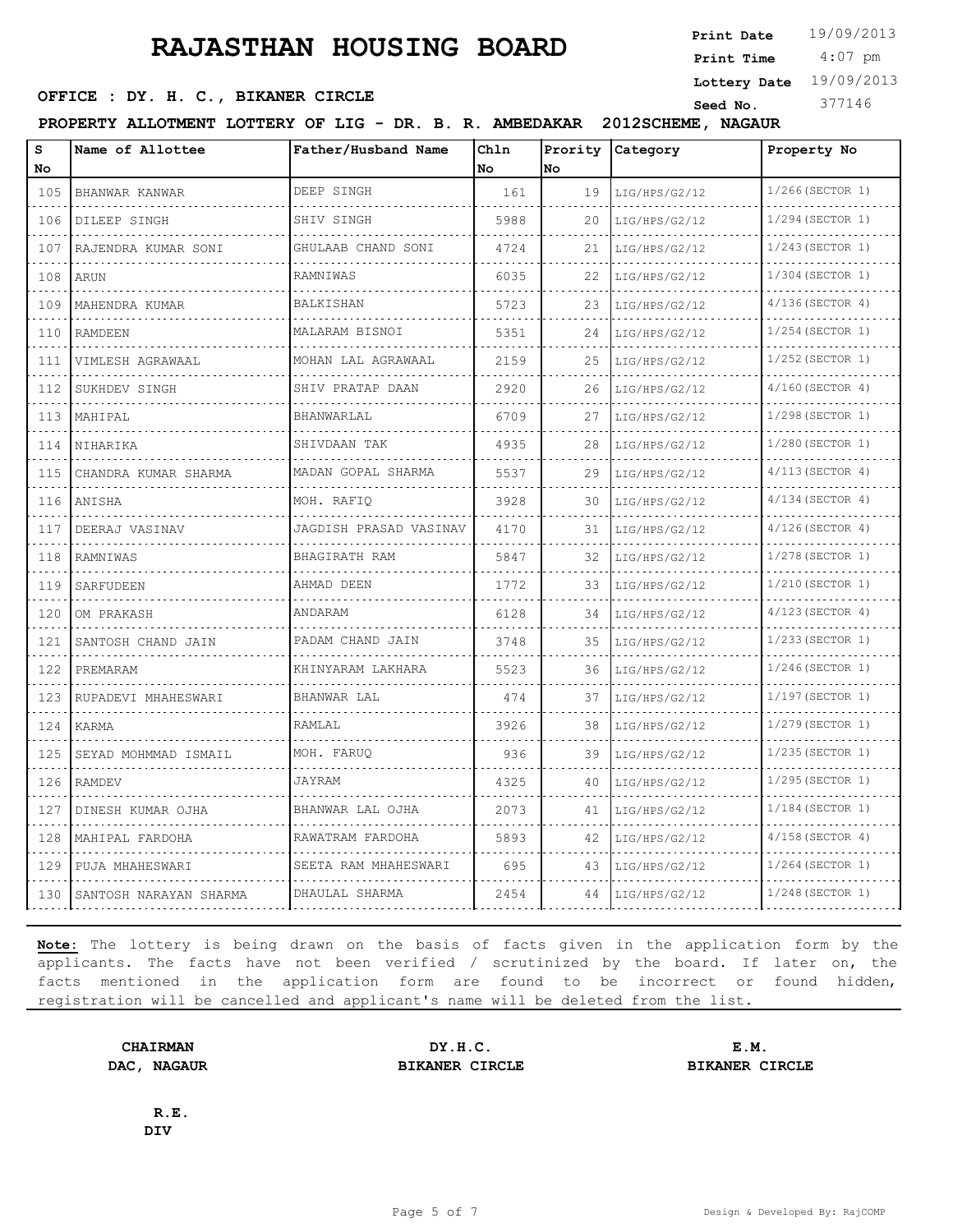4:07 pm **Print Date**  $19/09/2013$ **Print Time**

**Lottery Date** 19/09/2013

## **SEED OFFICE : DY. H. C., BIKANER CIRCLE** Seed No. 377146

**PROPERTY ALLOTMENT LOTTERY OF LIG - DR. B. R. AMBEDAKAR 2012SCHEME, NAGAUR**

| s<br>No                     | Name of Allottee       | Father/Husband Name     | Chln<br>No | Prority<br>No | Category      | Property No             |
|-----------------------------|------------------------|-------------------------|------------|---------------|---------------|-------------------------|
| 105                         | BHANWAR KANWAR         | DEEP SINGH              | 161        | 19            | LIG/HPS/G2/12 | 1/266(SECTOR 1)         |
| 106                         | DILEEP SINGH           | SHIV SINGH              | 5988       | 20            | LIG/HPS/G2/12 | 1/294 (SECTOR 1)        |
| 107                         | RAJENDRA KUMAR SONI    | GHULAAB CHAND SONI      | 4724       | 21            | LIG/HPS/G2/12 | 1/243(SECTOR 1)         |
| 108                         | ARUN                   | RAMNIWAS                | 6035       | 22            | LIG/HPS/G2/12 | 1/304 (SECTOR 1)        |
| .<br>109                    | MAHENDRA KUMAR         | BALKISHAN               | 5723       | 23            | LIG/HPS/G2/12 | $4/136$ (SECTOR 4)      |
| 110                         | <b>RAMDEEN</b>         | MALARAM BISNOI          | 5351       | 24            | LIG/HPS/G2/12 | 1/254 (SECTOR 1)        |
| 111                         | VIMLESH AGRAWAAL       | MOHAN LAL AGRAWAAL      | 2159       | 25            | LIG/HPS/G2/12 | 1/252(SECTOR 1)         |
| .<br>112                    | SUKHDEV SINGH          | SHIV PRATAP DAAN        | 2920       | .<br>26       | LIG/HPS/G2/12 | $4/160$ (SECTOR 4)      |
| 113                         | MAHIPAL                | BHANWARLAL              | 6709       | 27            | LIG/HPS/G2/12 | 1/298 (SECTOR 1)        |
| 114                         | NIHARIKA               | SHIVDAAN TAK            | 4935       | 28            | LIG/HPS/G2/12 | 1/280(SECTOR 1)         |
| .<br>115                    | CHANDRA KUMAR SHARMA   | .<br>MADAN GOPAL SHARMA | 5537       | 29            | LIG/HPS/G2/12 | .<br>$4/113$ (SECTOR 4) |
| .<br>116                    | ANISHA                 | MOH. RAFIO              | 3928       | 30            | LIG/HPS/G2/12 | $4/134$ (SECTOR 4)      |
| 117                         | DEERAJ VASINAV         | JAGDISH PRASAD VASINAV  | 4170       | 31            | LIG/HPS/G2/12 | $4/126$ (SECTOR 4)      |
| .<br>118                    | RAMNIWAS               | BHAGIRATH RAM           | 5847       | 32            | LIG/HPS/G2/12 | $1/278$ (SECTOR 1)      |
| .<br>119                    | SARFUDEEN              | AHMAD DEEN              | 1772       | 33            | LIG/HPS/G2/12 | 1/210 (SECTOR 1)        |
| 120                         | OM PRAKASH             | ANDARAM                 | 6128       | 34            | LIG/HPS/G2/12 | $4/123$ (SECTOR 4)      |
| .<br>121                    | SANTOSH CHAND JAIN     | PADAM CHAND JAIN        | 3748       | 35            | LIG/HPS/G2/12 | .<br>1/233 (SECTOR 1)   |
| 122                         | PREMARAM               | KHINYARAM LAKHARA       | 5523       | 36            | LIG/HPS/G2/12 | $1/246$ (SECTOR 1)      |
| 123                         | RUPADEVI MHAHESWARI    | BHANWAR LAL             | 474        | 37            | LIG/HPS/G2/12 | 1/197 (SECTOR 1)        |
| $\sim$ $\sim$ $\sim$<br>124 | KARMA                  | RAMLAL                  | 3926       | 38            | LIG/HPS/G2/12 | 1/279 (SECTOR 1)        |
| 125                         | SEYAD MOHMMAD ISMAIL   | MOH. FARUO              | 936        | 39            | LIG/HPS/G2/12 | 1/235 (SECTOR 1)        |
| 126                         | <b>RAMDEV</b>          | JAYRAM                  | 4325       | 40            | LIG/HPS/G2/12 | 1/295 (SECTOR 1)        |
| $\sim$ 4 $\sim$<br>127      | DINESH KUMAR OJHA      | BHANWAR LAL OJHA        | 2073       | 41            | LIG/HPS/G2/12 | $1/184$ (SECTOR 1)      |
| 128                         | MAHIPAL FARDOHA        | .<br>RAWATRAM FARDOHA   | 5893       | 42            | LIG/HPS/G2/12 | $4/158$ (SECTOR 4)      |
| 129                         | PUJA MHAHESWARI        | SEETA RAM MHAHESWARI    | 695        | 43            | LIG/HPS/G2/12 | 1/264 (SECTOR 1)        |
| 130                         | SANTOSH NARAYAN SHARMA | DHAULAL SHARMA          | 2454       | 44            | LIG/HPS/G2/12 | $1/248$ (SECTOR 1)      |

**Note:** The lottery is being drawn on the basis of facts given in the application form by the applicants. The facts have not been verified / scrutinized by the board. If later on, the facts mentioned in the application form are found to be incorrect or found hidden, registration will be cancelled and applicant's name will be deleted from the list.

**CHAIRMAN DY.H.C. E.M. DAC, NAGAUR BIKANER CIRCLE BIKANER CIRCLE**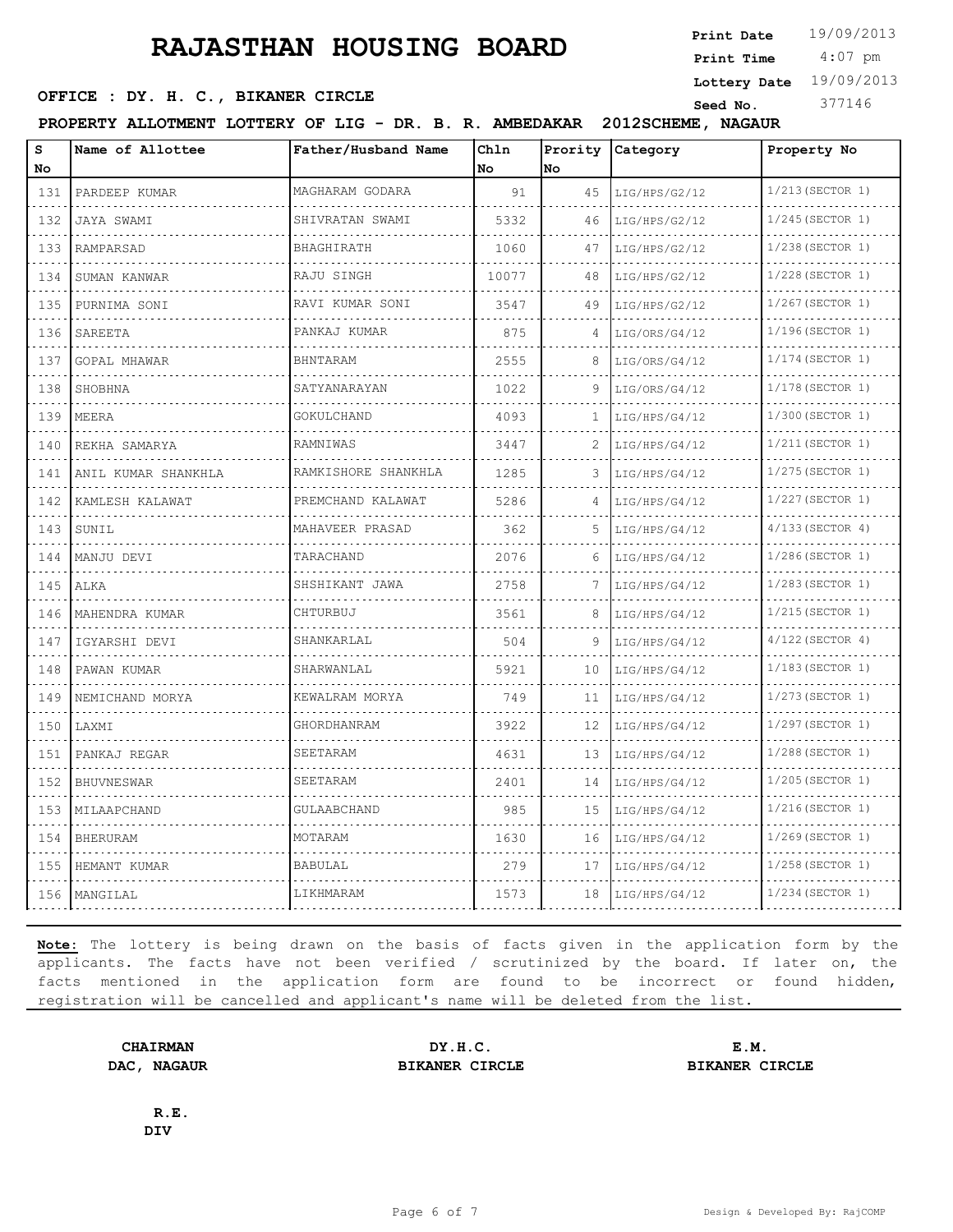4:07 pm **Print Date**  $19/09/2013$ **Print Time**

**Lottery Date** 19/09/2013

## **SEED OFFICE : DY. H. C., BIKANER CIRCLE** Seed No. 377146

**PROPERTY ALLOTMENT LOTTERY OF LIG - DR. B. R. AMBEDAKAR 2012SCHEME, NAGAUR**

| s<br>No | Name of Allottee    | Father/Husband Name                         | Chln<br>No | Prority<br>No | Category      | Property No        |
|---------|---------------------|---------------------------------------------|------------|---------------|---------------|--------------------|
| 131     | PARDEEP KUMAR       | MAGHARAM GODARA<br><u>o dio dio dio dio</u> | 91         | 45            | LIG/HPS/G2/12 | 1/213 (SECTOR 1)   |
| 132     | JAYA SWAMI          | SHIVRATAN SWAMI                             | 5332       | 46            | LIG/HPS/G2/12 | $1/245$ (SECTOR 1) |
| 133     | RAMPARSAD           | BHAGHIRATH                                  | 1060       | 47            | LIG/HPS/G2/12 | 1/238 (SECTOR 1)   |
| 134     | SUMAN KANWAR        | RAJU SINGH                                  | 10077      | 48            | LIG/HPS/G2/12 | 1/228 (SECTOR 1)   |
| 135     | .<br>PURNIMA SONI   | RAVI KUMAR SONI                             | 3547       | 49            | LIG/HPS/G2/12 | 1/267(SECTOR 1)    |
| 136     | SAREETA             | PANKAJ KUMAR                                | 875        | 4             | LIG/ORS/G4/12 | 1/196(SECTOR 1)    |
| 137     | GOPAL MHAWAR        | BHNTARAM                                    | 2555       | 8             | LIG/ORS/G4/12 | 1/174 (SECTOR 1)   |
| 138     | SHOBHNA             | SATYANARAYAN                                | 1022       | 9             | LIG/ORS/G4/12 | $1/178$ (SECTOR 1) |
| 139     | MEERA               | GOKULCHAND                                  | 4093       | 1             | LIG/HPS/G4/12 | 1/300 (SECTOR 1)   |
| 140     | REKHA SAMARYA       | RAMNIWAS                                    | 3447       | 2             | LIG/HPS/G4/12 | 1/211 (SECTOR 1)   |
| 141     | ANIL KUMAR SHANKHLA | RAMKISHORE SHANKHLA                         | 1285       | 3             | LIG/HPS/G4/12 | 1/275 (SECTOR 1)   |
| 142     | KAMLESH KALAWAT     | PREMCHAND KALAWAT                           | 5286       | 4             | LIG/HPS/G4/12 | 1/227 (SECTOR 1)   |
| 143     | SUNIL               | MAHAVEER PRASAD                             | 362        | 5             | LIG/HPS/G4/12 | $4/133$ (SECTOR 4) |
| 144     | MANJU DEVI          | TARACHAND                                   | 2076       | 6             | LIG/HPS/G4/12 | 1/286(SECTOR 1)    |
| 145     | ALKA                | SHSHIKANT JAWA                              | 2758       | 7             | LIG/HPS/G4/12 | $1/283$ (SECTOR 1) |
| 146     | MAHENDRA KUMAR      | CHTURBUJ                                    | 3561       | 8             | LIG/HPS/G4/12 | 1/215 (SECTOR 1)   |
| 147     | IGYARSHI DEVI       | SHANKARLAL                                  | 504        | 9             | LIG/HPS/G4/12 | $4/122$ (SECTOR 4) |
| 148     | PAWAN KUMAR         | SHARWANLAL                                  | 5921       | 10            | LIG/HPS/G4/12 | $1/183$ (SECTOR 1) |
| 149     | NEMICHAND MORYA     | KEWALRAM MORYA                              | 749        | 11            | LIG/HPS/G4/12 | 1/273 (SECTOR 1)   |
| 150     | LAXMI               | GHORDHANRAM                                 | 3922       | 12            | LIG/HPS/G4/12 | 1/297 (SECTOR 1)   |
| 151     | PANKAJ REGAR        | SEETARAM                                    | 4631       | 13            | LIG/HPS/G4/12 | $1/288$ (SECTOR 1) |
| 152     | BHUVNESWAR          | SEETARAM                                    | 2401       | 14            | LIG/HPS/G4/12 | 1/205(SECTOR 1)    |
| 153     | MILAAPCHAND         | GULAABCHAND                                 | 985        | 15            | LIG/HPS/G4/12 | $1/216$ (SECTOR 1) |
| 154     | <b>BHERURAM</b>     | MOTARAM                                     | 1630       | 16            | LIG/HPS/G4/12 | $1/269$ (SECTOR 1) |
| 155     | HEMANT KUMAR        | BABULAL                                     | 279        | 17            | LIG/HPS/G4/12 | 1/258 (SECTOR 1)   |
| 156     | MANGILAL            | LIKHMARAM                                   | 1573       | 18            | LIG/HPS/G4/12 | 1/234 (SECTOR 1)   |

**Note:** The lottery is being drawn on the basis of facts given in the application form by the applicants. The facts have not been verified / scrutinized by the board. If later on, the facts mentioned in the application form are found to be incorrect or found hidden, registration will be cancelled and applicant's name will be deleted from the list.

**CHAIRMAN DY.H.C. E.M. DAC, NAGAUR BIKANER CIRCLE BIKANER CIRCLE**